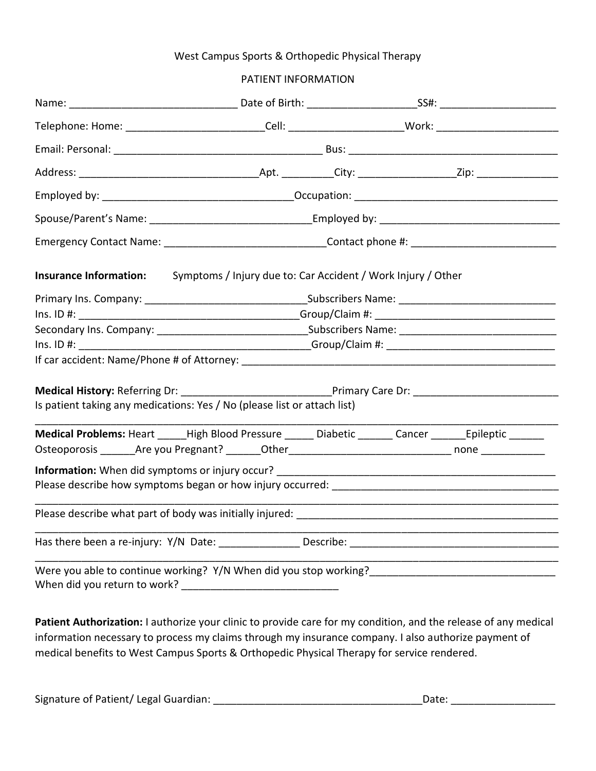## West Campus Sports & Orthopedic Physical Therapy

## PATIENT INFORMATION

| Telephone: Home: ______________________________Cell: __________________________Work: _________________________ |                                                              |  |  |  |  |
|----------------------------------------------------------------------------------------------------------------|--------------------------------------------------------------|--|--|--|--|
|                                                                                                                |                                                              |  |  |  |  |
|                                                                                                                |                                                              |  |  |  |  |
|                                                                                                                |                                                              |  |  |  |  |
| Spouse/Parent's Name: ________________________________Employed by: _________________________________           |                                                              |  |  |  |  |
|                                                                                                                |                                                              |  |  |  |  |
| <b>Insurance Information:</b>                                                                                  | Symptoms / Injury due to: Car Accident / Work Injury / Other |  |  |  |  |
|                                                                                                                |                                                              |  |  |  |  |
|                                                                                                                | $Ins. ID #:$ Group/Claim #:                                  |  |  |  |  |
|                                                                                                                |                                                              |  |  |  |  |
| $Ins. ID  #: ___________$                                                                                      |                                                              |  |  |  |  |
|                                                                                                                |                                                              |  |  |  |  |
| Medical History: Referring Dr: _________________________________Primary Care Dr: _____________________________ |                                                              |  |  |  |  |
| Is patient taking any medications: Yes / No (please list or attach list)                                       |                                                              |  |  |  |  |
| Medical Problems: Heart _____High Blood Pressure ______ Diabetic _______ Cancer ______Epileptic ______         |                                                              |  |  |  |  |
|                                                                                                                |                                                              |  |  |  |  |
|                                                                                                                |                                                              |  |  |  |  |
| Please describe how symptoms began or how injury occurred:<br>                                                 |                                                              |  |  |  |  |
|                                                                                                                |                                                              |  |  |  |  |
| Has there been a re-injury: Y/N Date: Describe:                                                                |                                                              |  |  |  |  |
|                                                                                                                |                                                              |  |  |  |  |

Patient Authorization: I authorize your clinic to provide care for my condition, and the release of any medical information necessary to process my claims through my insurance company. I also authorize payment of medical benefits to West Campus Sports & Orthopedic Physical Therapy for service rendered.

| Signature of Patient/ Legal Guardian:<br>Date: |  |
|------------------------------------------------|--|
|------------------------------------------------|--|